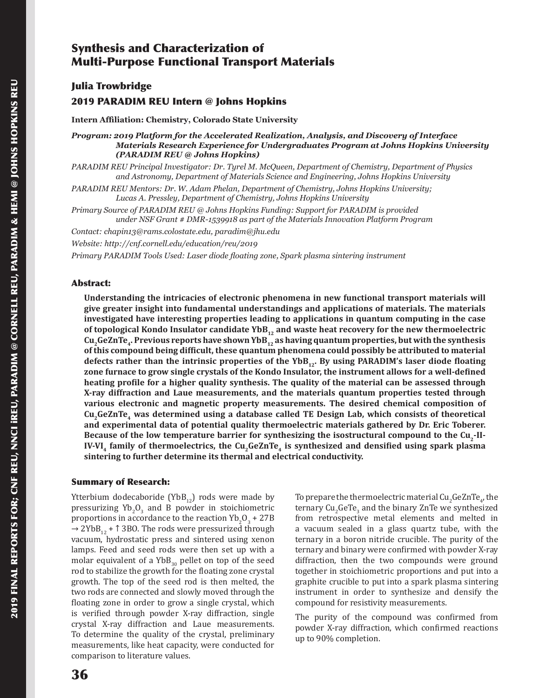# Synthesis and Characterization of Multi-Purpose Functional Transport Materials

Julia Trowbridge

## 2019 PARADIM REU Intern @ Johns Hopkins

**Intern Affiliation: Chemistry, Colorado State University**

*Program: 2019 Platform for the Accelerated Realization, Analysis, and Discovery of Interface Materials Research Experience for Undergraduates Program at Johns Hopkins University (PARADIM REU @ Johns Hopkins)*

*PARADIM REU Principal Investigator: Dr. Tyrel M. McQueen, Department of Chemistry, Department of Physics and Astronomy, Department of Materials Science and Engineering, Johns Hopkins University*

*PARADIM REU Mentors: Dr. W. Adam Phelan, Department of Chemistry, Johns Hopkins University; Lucas A. Pressley, Department of Chemistry, Johns Hopkins University*

*Primary Source of PARADIM REU @ Johns Hopkins Funding: Support for PARADIM is provided under NSF Grant # DMR-1539918 as part of the Materials Innovation Platform Program*

*Contact: chapin13@rams.colostate.edu, paradim@jhu.edu*

*Website: http://cnf.cornell.edu/education/reu/2019*

*Primary PARADIM Tools Used: Laser diode floating zone, Spark plasma sintering instrument*

#### Abstract:

**Understanding the intricacies of electronic phenomena in new functional transport materials will give greater insight into fundamental understandings and applications of materials. The materials investigated have interesting properties leading to applications in quantum computing in the case**  of topological Kondo Insulator candidate YbB<sub>12</sub> and waste heat recovery for the new thermoelectric Cu<sub>2</sub>GeZnTe<sub>4</sub>. Previous reports have shown YbB<sub>12</sub> as having quantum properties, but with the synthesis **of this compound being difficult, these quantum phenomena could possibly be attributed to material**  defects rather than the intrinsic properties of the YbB<sub>12</sub>. By using PARADIM's laser diode floating **zone furnace to grow single crystals of the Kondo Insulator, the instrument allows for a well-defined heating profile for a higher quality synthesis. The quality of the material can be assessed through X-ray diffraction and Laue measurements, and the materials quantum properties tested through various electronic and magnetic property measurements. The desired chemical composition of**  Cu<sub>2</sub>GeZnTe<sub>4</sub> was determined using a database called TE Design Lab, which consists of theoretical **and experimental data of potential quality thermoelectric materials gathered by Dr. Eric Toberer.**  Because of the low temperature barrier for synthesizing the isostructural compound to the Cu<sub>2</sub>-II-**IV-VI<sub>4</sub> family of thermoelectrics, the Cu<sub>2</sub>GeZnTe<sub>4</sub> is synthesized and densified using spark plasma sintering to further determine its thermal and electrical conductivity.**

#### Summary of Research:

Ytterbium dodecaboride (Yb $B_{12}$ ) rods were made by pressurizing  $Yb_2O_3$  and B powder in stoichiometric proportions in accordance to the reaction  $Yb_2O_3 + 27B$  $\rightarrow$  2YbB<sub>12</sub> +  $\uparrow$  3BO. The rods were pressurized through vacuum, hydrostatic press and sintered using xenon lamps. Feed and seed rods were then set up with a molar equivalent of a  $YbB_{30}$  pellet on top of the seed rod to stabilize the growth for the floating zone crystal growth. The top of the seed rod is then melted, the two rods are connected and slowly moved through the floating zone in order to grow a single crystal, which is verified through powder X-ray diffraction, single crystal X-ray diffraction and Laue measurements. To determine the quality of the crystal, preliminary measurements, like heat capacity, were conducted for comparison to literature values.

To prepare the thermoelectric material Cu<sub>2</sub>GeZnTe<sub>4</sub>, the ternary Cu<sub>2</sub>GeTe<sub>3</sub> and the binary ZnTe we synthesized from retrospective metal elements and melted in a vacuum sealed in a glass quartz tube, with the ternary in a boron nitride crucible. The purity of the ternary and binary were confirmed with powder X-ray diffraction, then the two compounds were ground together in stoichiometric proportions and put into a graphite crucible to put into a spark plasma sintering instrument in order to synthesize and densify the compound for resistivity measurements.

The purity of the compound was confirmed from powder X-ray diffraction, which confirmed reactions up to 90% completion.